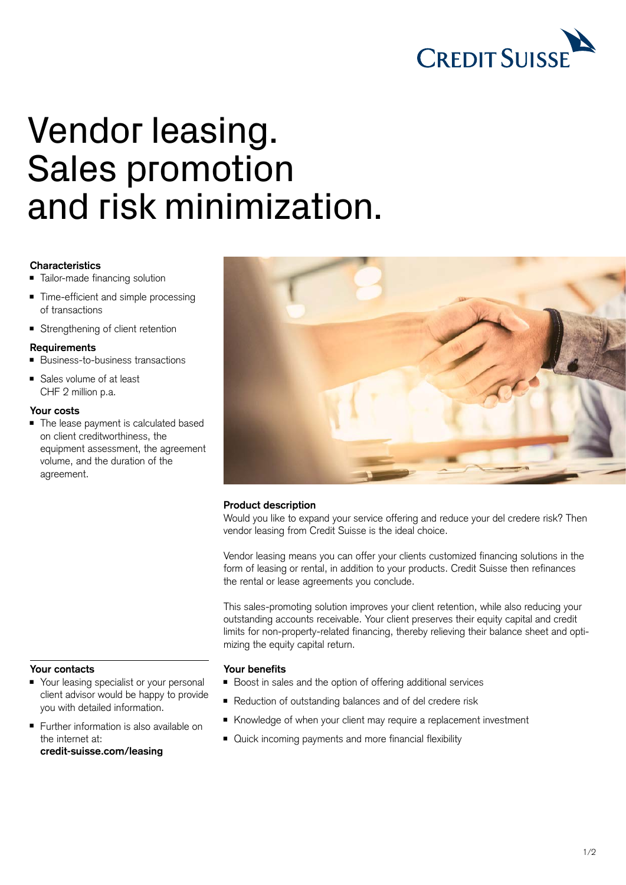

# Vendor leasing. Sales promotion and risk minimization.

# **Characteristics**

- Tailor-made financing solution
- Time-efficient and simple processing of transactions
- Strengthening of client retention

#### **Requirements**

- Business-to-business transactions
- Sales volume of at least CHF 2 million p.a.

## **Your costs**

■ The lease payment is calculated based on client creditworthiness, the equipment assessment, the agreement volume, and the duration of the agreement.



# **Product description**

Would you like to expand your service offering and reduce your del credere risk? Then vendor leasing from Credit Suisse is the ideal choice.

Vendor leasing means you can offer your clients customized financing solutions in the form of leasing or rental, in addition to your products. Credit Suisse then refinances the rental or lease agreements you conclude.

This sales-promoting solution improves your client retention, while also reducing your outstanding accounts receivable. Your client preserves their equity capital and credit limits for non-property-related financing, thereby relieving their balance sheet and optimizing the equity capital return.

#### **Your benefits**

- Boost in sales and the option of offering additional services
- Reduction of outstanding balances and of del credere risk
- Knowledge of when your client may require a replacement investment
- Quick incoming payments and more financial flexibility

### **Your contacts**

- Your leasing specialist or your personal client advisor would be happy to provide you with detailed information.
- Further information is also available on the internet at: **[credit-suisse.com/leasing](https://www.credit-suisse.com/ch/en/unternehmen/unternehmen-unternehmer/kmugrossunternehmen/finanzierung/leasing.html)**